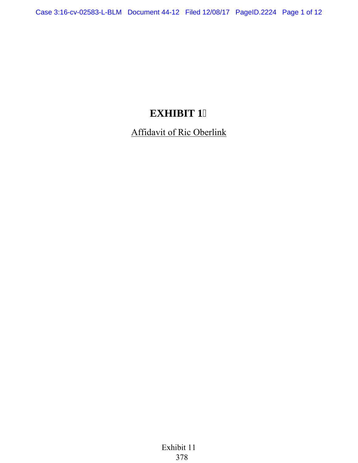# **EXHIBIT 1**

Affidavit of Ric Oberlink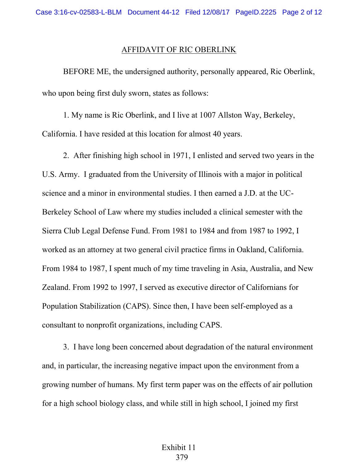#### AFFIDAVIT OF RIC OBERLINK

BEFORE ME, the undersigned authority, personally appeared, Ric Oberlink, who upon being first duly sworn, states as follows:

1. My name is Ric Oberlink, and I live at 1007 Allston Way, Berkeley, California. I have resided at this location for almost 40 years.

2. After finishing high school in 1971, I enlisted and served two years in the U.S. Army. I graduated from the University of Illinois with a major in political science and a minor in environmental studies. I then earned a J.D. at the UC-Berkeley School of Law where my studies included a clinical semester with the Sierra Club Legal Defense Fund. From 1981 to 1984 and from 1987 to 1992, I worked as an attorney at two general civil practice firms in Oakland, California. From 1984 to 1987, I spent much of my time traveling in Asia, Australia, and New Zealand. From 1992 to 1997, I served as executive director of Californians for Population Stabilization (CAPS). Since then, I have been self-employed as a consultant to nonprofit organizations, including CAPS.

3. I have long been concerned about degradation of the natural environment and, in particular, the increasing negative impact upon the environment from a growing number of humans. My first term paper was on the effects of air pollution for a high school biology class, and while still in high school, I joined my first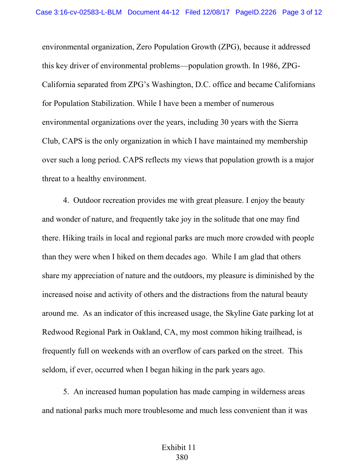environmental organization, Zero Population Growth (ZPG), because it addressed this key driver of environmental problems—population growth. In 1986, ZPG-California separated from ZPG's Washington, D.C. office and became Californians for Population Stabilization. While I have been a member of numerous environmental organizations over the years, including 30 years with the Sierra Club, CAPS is the only organization in which I have maintained my membership over such a long period. CAPS reflects my views that population growth is a major threat to a healthy environment.

4. Outdoor recreation provides me with great pleasure. I enjoy the beauty and wonder of nature, and frequently take joy in the solitude that one may find there. Hiking trails in local and regional parks are much more crowded with people than they were when I hiked on them decades ago. While I am glad that others share my appreciation of nature and the outdoors, my pleasure is diminished by the increased noise and activity of others and the distractions from the natural beauty around me. As an indicator of this increased usage, the Skyline Gate parking lot at Redwood Regional Park in Oakland, CA, my most common hiking trailhead, is frequently full on weekends with an overflow of cars parked on the street. This seldom, if ever, occurred when I began hiking in the park years ago.

5. An increased human population has made camping in wilderness areas and national parks much more troublesome and much less convenient than it was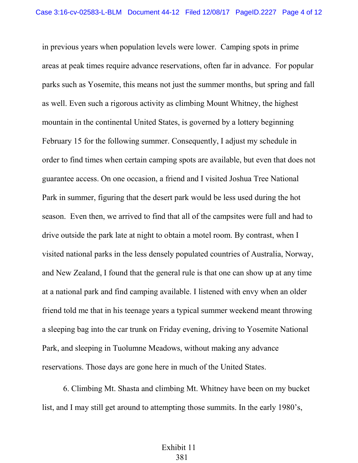in previous years when population levels were lower. Camping spots in prime areas at peak times require advance reservations, often far in advance. For popular parks such as Yosemite, this means not just the summer months, but spring and fall as well. Even such a rigorous activity as climbing Mount Whitney, the highest mountain in the continental United States, is governed by a lottery beginning February 15 for the following summer. Consequently, I adjust my schedule in order to find times when certain camping spots are available, but even that does not guarantee access. On one occasion, a friend and I visited Joshua Tree National Park in summer, figuring that the desert park would be less used during the hot season. Even then, we arrived to find that all of the campsites were full and had to drive outside the park late at night to obtain a motel room. By contrast, when I visited national parks in the less densely populated countries of Australia, Norway, and New Zealand, I found that the general rule is that one can show up at any time at a national park and find camping available. I listened with envy when an older friend told me that in his teenage years a typical summer weekend meant throwing a sleeping bag into the car trunk on Friday evening, driving to Yosemite National Park, and sleeping in Tuolumne Meadows, without making any advance reservations. Those days are gone here in much of the United States.

6. Climbing Mt. Shasta and climbing Mt. Whitney have been on my bucket list, and I may still get around to attempting those summits. In the early 1980's,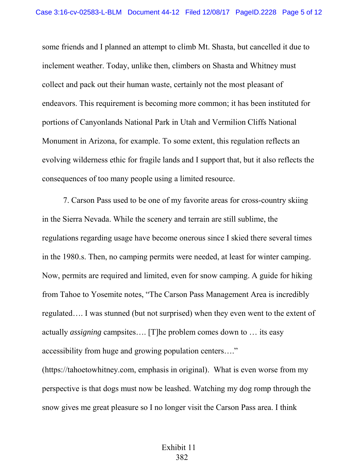some friends and I planned an attempt to climb Mt. Shasta, but cancelled it due to inclement weather. Today, unlike then, climbers on Shasta and Whitney must collect and pack out their human waste, certainly not the most pleasant of endeavors. This requirement is becoming more common; it has been instituted for portions of Canyonlands National Park in Utah and Vermilion Cliffs National Monument in Arizona, for example. To some extent, this regulation reflects an evolving wilderness ethic for fragile lands and I support that, but it also reflects the consequences of too many people using a limited resource.

7. Carson Pass used to be one of my favorite areas for cross-country skiing in the Sierra Nevada. While the scenery and terrain are still sublime, the regulations regarding usage have become onerous since I skied there several times in the 1980.s. Then, no camping permits were needed, at least for winter camping. Now, permits are required and limited, even for snow camping. A guide for hiking from Tahoe to Yosemite notes, "The Carson Pass Management Area is incredibly regulated…. I was stunned (but not surprised) when they even went to the extent of actually *assigning* campsites…. [T]he problem comes down to … its easy accessibility from huge and growing population centers…."

(https://tahoetowhitney.com, emphasis in original). What is even worse from my perspective is that dogs must now be leashed. Watching my dog romp through the snow gives me great pleasure so I no longer visit the Carson Pass area. I think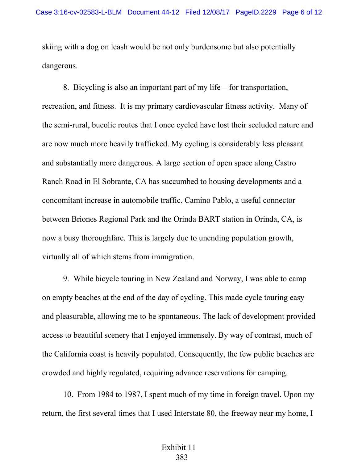skiing with a dog on leash would be not only burdensome but also potentially dangerous.

8. Bicycling is also an important part of my life—for transportation, recreation, and fitness. It is my primary cardiovascular fitness activity. Many of the semi-rural, bucolic routes that I once cycled have lost their secluded nature and are now much more heavily trafficked. My cycling is considerably less pleasant and substantially more dangerous. A large section of open space along Castro Ranch Road in El Sobrante, CA has succumbed to housing developments and a concomitant increase in automobile traffic. Camino Pablo, a useful connector between Briones Regional Park and the Orinda BART station in Orinda, CA, is now a busy thoroughfare. This is largely due to unending population growth, virtually all of which stems from immigration.

9. While bicycle touring in New Zealand and Norway, I was able to camp on empty beaches at the end of the day of cycling. This made cycle touring easy and pleasurable, allowing me to be spontaneous. The lack of development provided access to beautiful scenery that I enjoyed immensely. By way of contrast, much of the California coast is heavily populated. Consequently, the few public beaches are crowded and highly regulated, requiring advance reservations for camping.

10. From 1984 to 1987, I spent much of my time in foreign travel. Upon my return, the first several times that I used Interstate 80, the freeway near my home, I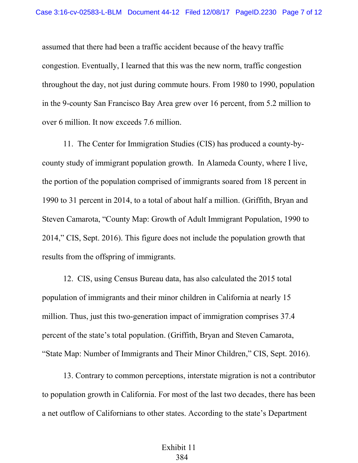assumed that there had been a traffic accident because of the heavy traffic congestion. Eventually, I learned that this was the new norm, traffic congestion throughout the day, not just during commute hours. From 1980 to 1990, population in the 9-county San Francisco Bay Area grew over 16 percent, from 5.2 million to over 6 million. It now exceeds 7.6 million.

11. The Center for Immigration Studies (CIS) has produced a county-bycounty study of immigrant population growth. In Alameda County, where I live, the portion of the population comprised of immigrants soared from 18 percent in 1990 to 31 percent in 2014, to a total of about half a million. (Griffith, Bryan and Steven Camarota, "County Map: Growth of Adult Immigrant Population, 1990 to 2014," CIS, Sept. 2016). This figure does not include the population growth that results from the offspring of immigrants.

12. CIS, using Census Bureau data, has also calculated the 2015 total population of immigrants and their minor children in California at nearly 15 million. Thus, just this two-generation impact of immigration comprises 37.4 percent of the state's total population. (Griffith, Bryan and Steven Camarota, "State Map: Number of Immigrants and Their Minor Children," CIS, Sept. 2016).

13. Contrary to common perceptions, interstate migration is not a contributor to population growth in California. For most of the last two decades, there has been a net outflow of Californians to other states. According to the state's Department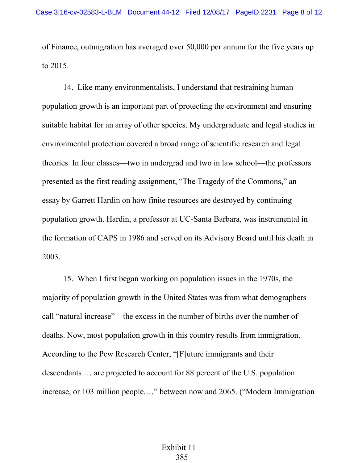of Finance, outmigration has averaged over 50,000 per annum for the five years up to 2015.

14. Like many environmentalists, I understand that restraining human population growth is an important part of protecting the environment and ensuring suitable habitat for an array of other species. My undergraduate and legal studies in environmental protection covered a broad range of scientific research and legal theories. In four classes—two in undergrad and two in law school—the professors presented as the first reading assignment, "The Tragedy of the Commons," an essay by Garrett Hardin on how finite resources are destroyed by continuing population growth. Hardin, a professor at UC-Santa Barbara, was instrumental in the formation of CAPS in 1986 and served on its Advisory Board until his death in 2003.

15. When I first began working on population issues in the 1970s, the majority of population growth in the United States was from what demographers call "natural increase"—the excess in the number of births over the number of deaths. Now, most population growth in this country results from immigration. According to the Pew Research Center, "[F]uture immigrants and their descendants … are projected to account for 88 percent of the U.S. population increase, or 103 million people.…" between now and 2065. ("Modern Immigration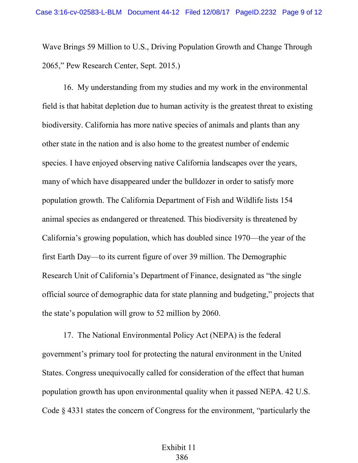Wave Brings 59 Million to U.S., Driving Population Growth and Change Through 2065," Pew Research Center, Sept. 2015.)

16. My understanding from my studies and my work in the environmental field is that habitat depletion due to human activity is the greatest threat to existing biodiversity. California has more native species of animals and plants than any other state in the nation and is also home to the greatest number of endemic species. I have enjoyed observing native California landscapes over the years, many of which have disappeared under the bulldozer in order to satisfy more population growth. The California Department of Fish and Wildlife lists 154 animal species as endangered or threatened. This biodiversity is threatened by California's growing population, which has doubled since 1970—the year of the first Earth Day—to its current figure of over 39 million. The Demographic Research Unit of California's Department of Finance, designated as "the single official source of demographic data for state planning and budgeting," projects that the state's population will grow to 52 million by 2060.

17. The National Environmental Policy Act (NEPA) is the federal government's primary tool for protecting the natural environment in the United States. Congress unequivocally called for consideration of the effect that human population growth has upon environmental quality when it passed NEPA. 42 U.S. Code § 4331 states the concern of Congress for the environment, "particularly the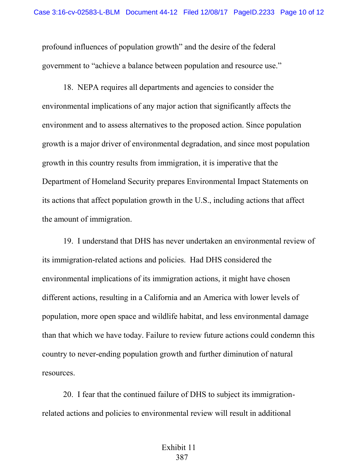profound influences of population growth" and the desire of the federal government to "achieve a balance between population and resource use."

18. NEPA requires all departments and agencies to consider the environmental implications of any major action that significantly affects the environment and to assess alternatives to the proposed action. Since population growth is a major driver of environmental degradation, and since most population growth in this country results from immigration, it is imperative that the Department of Homeland Security prepares Environmental Impact Statements on its actions that affect population growth in the U.S., including actions that affect the amount of immigration.

19. I understand that DHS has never undertaken an environmental review of its immigration-related actions and policies. Had DHS considered the environmental implications of its immigration actions, it might have chosen different actions, resulting in a California and an America with lower levels of population, more open space and wildlife habitat, and less environmental damage than that which we have today. Failure to review future actions could condemn this country to never-ending population growth and further diminution of natural resources.

20. I fear that the continued failure of DHS to subject its immigrationrelated actions and policies to environmental review will result in additional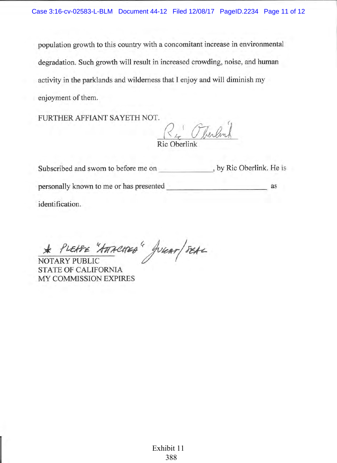population growth to this country with a concomitant increase in environmental degradation. Such growth will result in increased crowding, noise, and human activity in the parklands and wilderness that I enjoy and will diminish my enjoyment of them.

FURTHER AFFIANT SAYETH NOT.

Ri Pherlink Ric Oberlin

Subscribed and sworn to before me on \_\_\_\_\_\_\_\_\_\_\_\_\_\_\_, by Ric Oberlink. He is as identification.

PLEABE "ATTACHED" JURAT/SEAL **NOTARY PUBLIC** 

**STATE OF CALIFORNIA** MY COMMISSION EXPIRES